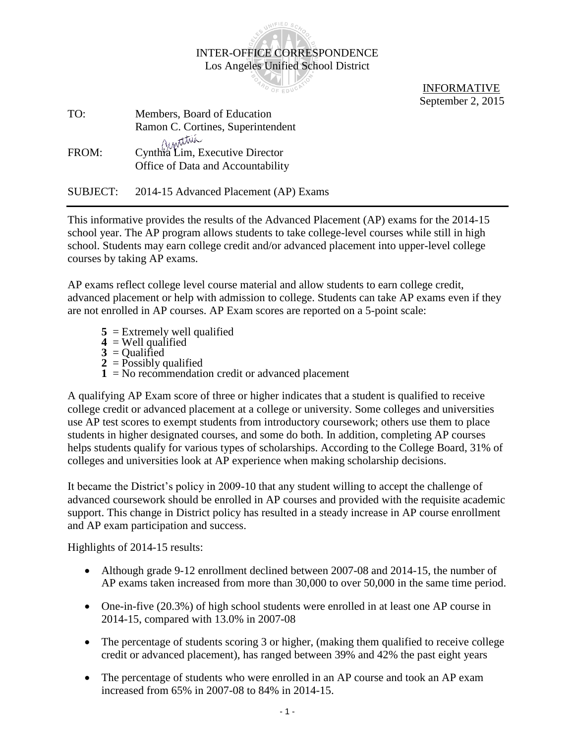INTER-OFFICE CORRESPONDENCE Los Angeles Unified School District

UNIFIED SC

**OARD OF EDUCK** 

 INFORMATIVE September 2, 2015

| TO:   | Members, Board of Education                                          |
|-------|----------------------------------------------------------------------|
|       | Ramon C. Cortines, Superintendent                                    |
| FROM: | Cynthia Lim, Executive Director<br>Office of Data and Accountability |

SUBJECT: 2014-15 Advanced Placement (AP) Exams

This informative provides the results of the Advanced Placement (AP) exams for the 2014-15 school year. The AP program allows students to take college-level courses while still in high school. Students may earn college credit and/or advanced placement into upper-level college courses by taking AP exams.

AP exams reflect college level course material and allow students to earn college credit, advanced placement or help with admission to college. Students can take AP exams even if they are not enrolled in AP courses. AP Exam scores are reported on a 5-point scale:

- **5** = Extremely well qualified
- **4** = Well qualified
- **3** = Qualified
- $2 = \text{Possibly qualified}$
- **1** = No recommendation credit or advanced placement

A qualifying AP Exam score of three or higher indicates that a student is qualified to receive college credit or advanced placement at a college or university. Some colleges and universities use AP test scores to exempt students from introductory coursework; others use them to place students in higher designated courses, and some do both. In addition, completing AP courses helps students qualify for various types of scholarships. According to the College Board, 31% of colleges and universities look at AP experience when making scholarship decisions.

It became the District's policy in 2009-10 that any student willing to accept the challenge of advanced coursework should be enrolled in AP courses and provided with the requisite academic support. This change in District policy has resulted in a steady increase in AP course enrollment and AP exam participation and success.

Highlights of 2014-15 results:

- Although grade 9-12 enrollment declined between 2007-08 and 2014-15, the number of AP exams taken increased from more than 30,000 to over 50,000 in the same time period.
- One-in-five (20.3%) of high school students were enrolled in at least one AP course in 2014-15, compared with 13.0% in 2007-08
- The percentage of students scoring 3 or higher, (making them qualified to receive college credit or advanced placement), has ranged between 39% and 42% the past eight years
- The percentage of students who were enrolled in an AP course and took an AP exam increased from 65% in 2007-08 to 84% in 2014-15.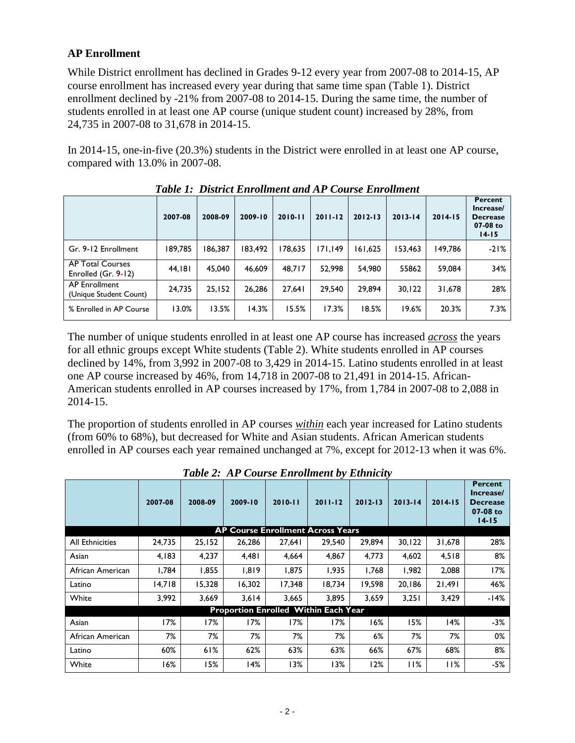## **AP Enrollment**

While District enrollment has declined in Grades 9-12 every year from 2007-08 to 2014-15, AP course enrollment has increased every year during that same time span (Table 1). District enrollment declined by -21% from 2007-08 to 2014-15. During the same time, the number of students enrolled in at least one AP course (unique student count) increased by 28%, from 24,735 in 2007-08 to 31,678 in 2014-15.

In 2014-15, one-in-five (20.3%) students in the District were enrolled in at least one AP course, compared with 13.0% in 2007-08.

|                                                | 2007-08 | 2008-09 | 2009-10 | $2010 - 11$ | $2011 - 12$ | $2012 - 13$ | $2013 - 14$ | $2014 - 15$ | Percent<br>Increase/<br><b>Decrease</b><br>$07-08$ to<br>$14 - 15$ |
|------------------------------------------------|---------|---------|---------|-------------|-------------|-------------|-------------|-------------|--------------------------------------------------------------------|
| Gr. 9-12 Enrollment                            | 189,785 | 186,387 | 183,492 | 178.635     | 171,149     | 161,625     | 153,463     | 149.786     | $-21%$                                                             |
| <b>AP Total Courses</b><br>Enrolled (Gr. 9-12) | 44,181  | 45,040  | 46.609  | 48.717      | 52.998      | 54.980      | 55862       | 59.084      | 34%                                                                |
| <b>AP Enrollment</b><br>(Unique Student Count) | 24.735  | 25.152  | 26.286  | 27.641      | 29.540      | 29.894      | 30.122      | 31.678      | 28%                                                                |
| % Enrolled in AP Course                        | 13.0%   | 13.5%   | 14.3%   | 15.5%       | 17.3%       | 18.5%       | 19.6%       | 20.3%       | 7.3%                                                               |

*Table 1: District Enrollment and AP Course Enrollment*

The number of unique students enrolled in at least one AP course has increased *across* the years for all ethnic groups except White students (Table 2). White students enrolled in AP courses declined by 14%, from 3,992 in 2007-08 to 3,429 in 2014-15. Latino students enrolled in at least one AP course increased by 46%, from 14,718 in 2007-08 to 21,491 in 2014-15. African-American students enrolled in AP courses increased by 17%, from 1,784 in 2007-08 to 2,088 in 2014-15.

The proportion of students enrolled in AP courses *within* each year increased for Latino students (from 60% to 68%), but decreased for White and Asian students. African American students enrolled in AP courses each year remained unchanged at 7%, except for 2012-13 when it was 6%.

|                  | 2007-08 | 2008-09 | 2009-10 | Tubic 2, 111 Course Enforment by Emmerty<br>$2010 - 11$ | $2011 - 12$ | $2012 - 13$ | $2013 - 14$ | $2014 - 15$ | <b>Percent</b><br>Increase/<br><b>Decrease</b><br>07-08 to<br>$14 - 15$ |
|------------------|---------|---------|---------|---------------------------------------------------------|-------------|-------------|-------------|-------------|-------------------------------------------------------------------------|
|                  |         |         |         | <b>AP Course Enrollment Across Years</b>                |             |             |             |             |                                                                         |
| All Ethnicities  | 24,735  | 25,152  | 26,286  | 27,641                                                  | 29,540      | 29,894      | 30, 122     | 31,678      | 28%                                                                     |
| Asian            | 4,183   | 4,237   | 4,481   | 4,664                                                   | 4,867       | 4.773       | 4,602       | 4,518       | 8%                                                                      |
| African American | 1,784   | 1,855   | 1,819   | 1,875                                                   | 1,935       | 1,768       | 1,982       | 2,088       | 17%                                                                     |
| Latino           | 14,718  | 15,328  | 16,302  | 17,348                                                  | 18,734      | 19,598      | 20,186      | 21,491      | 46%                                                                     |
| White            | 3,992   | 3,669   | 3,614   | 3,665                                                   | 3,895       | 3,659       | 3,251       | 3,429       | -14%                                                                    |
|                  |         |         |         | Proportion Enrolled Within Each Year                    |             |             |             |             |                                                                         |
| Asian            | 17%     | 17%     | 17%     | 17%                                                     | 17%         | 16%         | 15%         | 14%         | $-3%$                                                                   |
| African American | 7%      | 7%      | 7%      | 7%                                                      | 7%          | $6\%$       | 7%          | 7%          | 0%                                                                      |
| Latino           | 60%     | 61%     | 62%     | 63%                                                     | 63%         | 66%         | 67%         | 68%         | 8%                                                                      |
| White            | 16%     | 15%     | 14%     | 13%                                                     | 13%         | 12%         | 11%         | 11%         | $-5%$                                                                   |

*Table 2: AP Course Enrollment by Ethnicity*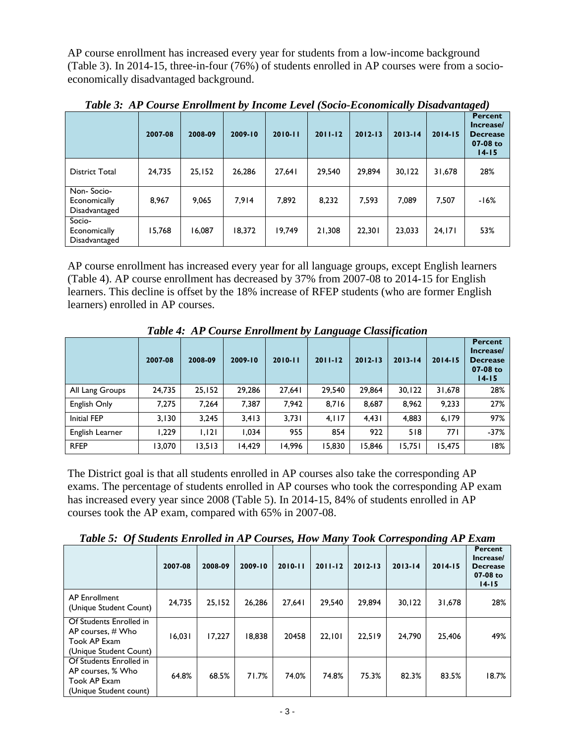AP course enrollment has increased every year for students from a low-income background (Table 3). In 2014-15, three-in-four (76%) of students enrolled in AP courses were from a socioeconomically disadvantaged background.

|                                             | 2007-08 | 2008-09 | $2009 - 10$ | $2010 - 11$ | $2011 - 12$ | $2012 - 13$ | $2013 - 14$ | $2014 - 15$ | Percent<br>Increase/<br><b>Decrease</b><br>07-08 to<br>$14 - 15$ |
|---------------------------------------------|---------|---------|-------------|-------------|-------------|-------------|-------------|-------------|------------------------------------------------------------------|
| <b>District Total</b>                       | 24,735  | 25,152  | 26,286      | 27,641      | 29,540      | 29,894      | 30, 122     | 31,678      | 28%                                                              |
| Non-Socio-<br>Economically<br>Disadvantaged | 8,967   | 9,065   | 7,914       | 7,892       | 8,232       | 7,593       | 7,089       | 7,507       | $-16%$                                                           |
| Socio-<br>Economically<br>Disadvantaged     | 15,768  | 16,087  | 18,372      | 19,749      | 21,308      | 22,301      | 23,033      | 24, 171     | 53%                                                              |

*Table 3: AP Course Enrollment by Income Level (Socio-Economically Disadvantaged)*

AP course enrollment has increased every year for all language groups, except English learners (Table 4). AP course enrollment has decreased by 37% from 2007-08 to 2014-15 for English learners. This decline is offset by the 18% increase of RFEP students (who are former English learners) enrolled in AP courses.

|                    |         |         |         | Tubic +: /11 Course Enroundin by Eangauge Chassification |             |             |             |             |                                                                           |
|--------------------|---------|---------|---------|----------------------------------------------------------|-------------|-------------|-------------|-------------|---------------------------------------------------------------------------|
|                    | 2007-08 | 2008-09 | 2009-10 | $2010 - 11$                                              | $2011 - 12$ | $2012 - 13$ | $2013 - 14$ | $2014 - 15$ | <b>Percent</b><br>Increase/<br><b>Decrease</b><br>$07-08$ to<br>$14 - 15$ |
| All Lang Groups    | 24,735  | 25,152  | 29,286  | 27,641                                                   | 29,540      | 29,864      | 30, 122     | 31,678      | 28%                                                                       |
| English Only       | 7.275   | 7,264   | 7,387   | 7.942                                                    | 8,716       | 8,687       | 8.962       | 9.233       | 27%                                                                       |
| <b>Initial FEP</b> | 3,130   | 3,245   | 3,413   | 3,731                                                    | 4.117       | 4,431       | 4,883       | 6,179       | 97%                                                                       |
| English Learner    | 229, ا  | 1,121   | 1,034   | 955                                                      | 854         | 922         | 518         | 771         | $-37%$                                                                    |
| <b>RFEP</b>        | 3,070   | 13,513  | 14,429  | 14,996                                                   | 15,830      | 15,846      | 15,751      | 15,475      | 18%                                                                       |

*Table 4: AP Course Enrollment by Language Classification*

The District goal is that all students enrolled in AP courses also take the corresponding AP exams. The percentage of students enrolled in AP courses who took the corresponding AP exam has increased every year since 2008 (Table 5). In 2014-15, 84% of students enrolled in AP courses took the AP exam, compared with 65% in 2007-08.

*Table 5: Of Students Enrolled in AP Courses, How Many Took Corresponding AP Exam*

|                                                                                          | 2007-08 | 2008-09 | 2009-10 | $2010 - 11$ | $2011 - 12$ | $2012 - 13$ | $2013 - 14$ | ັ<br>$2014 - 15$ | Percent<br>Increase/<br><b>Decrease</b><br>07-08 to<br>$14 - 15$ |
|------------------------------------------------------------------------------------------|---------|---------|---------|-------------|-------------|-------------|-------------|------------------|------------------------------------------------------------------|
| <b>AP Enrollment</b><br>(Unique Student Count)                                           | 24,735  | 25,152  | 26.286  | 27.641      | 29.540      | 29.894      | 30.122      | 31,678           | 28%                                                              |
| Of Students Enrolled in<br>AP courses, $#$ Who<br>Took AP Exam<br>(Unique Student Count) | 16,031  | 17.227  | 8.838   | 20458       | 22.101      | 22.519      | 24.790      | 25,406           | 49%                                                              |
| Of Students Enrolled in<br>AP courses, % Who<br>Took AP Exam<br>(Unique Student count)   | 64.8%   | 68.5%   | 71.7%   | 74.0%       | 74.8%       | 75.3%       | 82.3%       | 83.5%            | 18.7%                                                            |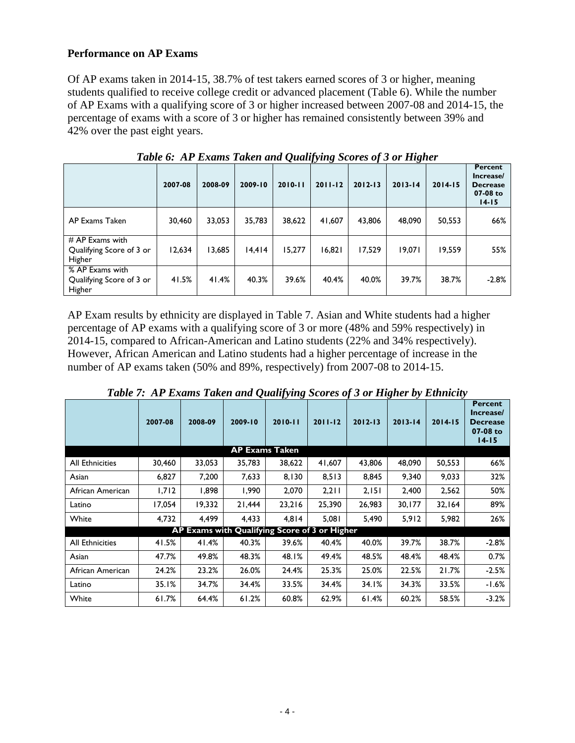## **Performance on AP Exams**

Of AP exams taken in 2014-15, 38.7% of test takers earned scores of 3 or higher, meaning students qualified to receive college credit or advanced placement (Table 6). While the number of AP Exams with a qualifying score of 3 or higher increased between 2007-08 and 2014-15, the percentage of exams with a score of 3 or higher has remained consistently between 39% and 42% over the past eight years.

| $\sim$ generity $\sim$ $\sim$ $\sim$ $\sim$ $\sim$ $\sim$ |         |         |         |             |             |             |             |             |                                                                  |  |  |  |
|-----------------------------------------------------------|---------|---------|---------|-------------|-------------|-------------|-------------|-------------|------------------------------------------------------------------|--|--|--|
|                                                           | 2007-08 | 2008-09 | 2009-10 | $2010 - 11$ | $2011 - 12$ | $2012 - 13$ | $2013 - 14$ | $2014 - 15$ | Percent<br>Increase/<br><b>Decrease</b><br>07-08 to<br>$14 - 15$ |  |  |  |
| AP Exams Taken                                            | 30,460  | 33,053  | 35,783  | 38,622      | 41,607      | 43,806      | 48,090      | 50,553      | 66%                                                              |  |  |  |
| $#$ AP Exams with<br>Qualifying Score of 3 or<br>Higher   | 12,634  | 13,685  | 14,414  | 15,277      | 16,821      | 17,529      | 19,071      | 19,559      | 55%                                                              |  |  |  |
| % AP Exams with<br>Qualifying Score of 3 or<br>Higher     | 41.5%   | 41.4%   | 40.3%   | 39.6%       | 40.4%       | 40.0%       | 39.7%       | 38.7%       | $-2.8%$                                                          |  |  |  |

*Table 6: AP Exams Taken and Qualifying Scores of 3 or Higher*

AP Exam results by ethnicity are displayed in Table 7. Asian and White students had a higher percentage of AP exams with a qualifying score of 3 or more (48% and 59% respectively) in 2014-15, compared to African-American and Latino students (22% and 34% respectively). However, African American and Latino students had a higher percentage of increase in the number of AP exams taken (50% and 89%, respectively) from 2007-08 to 2014-15.

|                        | 2007-08 | 2008-09                                       | 2009-10 | . .<br>$2010 - 11$    | $2011 - 12$ | $2012 - 13$ | $2013 - 14$ | $2014 - 15$ | <b>Percent</b><br>Increase/<br><b>Decrease</b> |
|------------------------|---------|-----------------------------------------------|---------|-----------------------|-------------|-------------|-------------|-------------|------------------------------------------------|
|                        |         |                                               |         |                       |             |             |             |             | 07-08 to<br>$14 - 15$                          |
|                        |         |                                               |         | <b>AP Exams Taken</b> |             |             |             |             |                                                |
| <b>All Ethnicities</b> | 30,460  | 33,053                                        | 35,783  | 38,622                | 41,607      | 43,806      | 48,090      | 50,553      | 66%                                            |
| Asian                  | 6,827   | 7,200                                         | 7,633   | 8,130                 | 8,513       | 8,845       | 9,340       | 9,033       | 32%                                            |
| African American       | 1,712   | 1,898                                         | 1,990   | 2,070                 | 2,211       | 2,151       | 2,400       | 2,562       | 50%                                            |
| Latino                 | 17,054  | 19.332                                        | 21,444  | 23,216                | 25,390      | 26,983      | 30,177      | 32,164      | 89%                                            |
| White                  | 4,732   | 4,499                                         | 4,433   | 4,814                 | 5,081       | 5,490       | 5,912       | 5,982       | 26%                                            |
|                        |         | AP Exams with Qualifying Score of 3 or Higher |         |                       |             |             |             |             |                                                |
| <b>All Ethnicities</b> | 41.5%   | 41.4%                                         | 40.3%   | 39.6%                 | 40.4%       | 40.0%       | 39.7%       | 38.7%       | $-2.8%$                                        |
| Asian                  | 47.7%   | 49.8%                                         | 48.3%   | 48.1%                 | 49.4%       | 48.5%       | 48.4%       | 48.4%       | 0.7%                                           |
| African American       | 24.2%   | 23.2%                                         | 26.0%   | 24.4%                 | 25.3%       | 25.0%       | 22.5%       | 21.7%       | $-2.5%$                                        |
| Latino                 | 35.1%   | 34.7%                                         | 34.4%   | 33.5%                 | 34.4%       | 34.1%       | 34.3%       | 33.5%       | $-1.6%$                                        |
| White                  | 61.7%   | 64.4%                                         | 61.2%   | 60.8%                 | 62.9%       | 61.4%       | 60.2%       | 58.5%       | $-3.2%$                                        |

*Table 7: AP Exams Taken and Qualifying Scores of 3 or Higher by Ethnicity*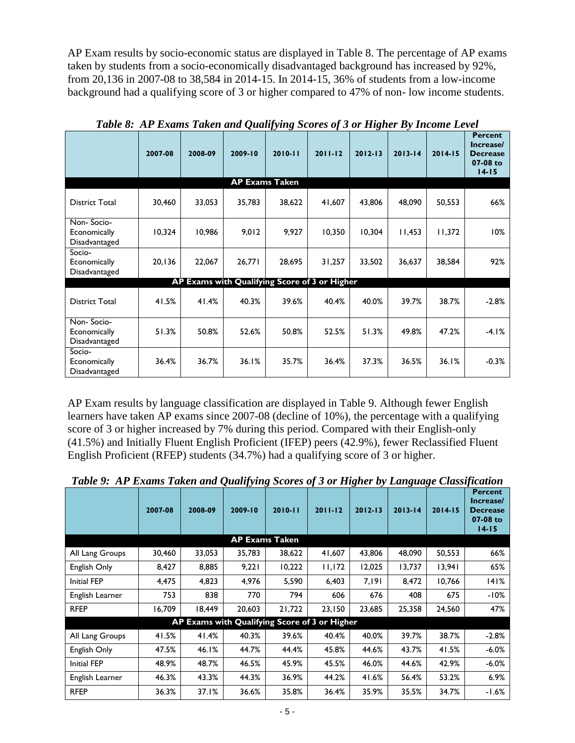AP Exam results by socio-economic status are displayed in Table 8. The percentage of AP exams taken by students from a socio-economically disadvantaged background has increased by 92%, from 20,136 in 2007-08 to 38,584 in 2014-15. In 2014-15, 36% of students from a low-income background had a qualifying score of 3 or higher compared to 47% of non- low income students.

|                                             | 2007-08 | 2008-09 | 2009-10 | ັັ<br>ີ<br>$2010 - 11$                        | $2011 - 12$ | ິ<br>$2012 - 13$ | $2013 - 14$ | $2014 - 15$ | <b>Percent</b><br>Increase/<br><b>Decrease</b><br>07-08 to<br>$14 - 15$ |
|---------------------------------------------|---------|---------|---------|-----------------------------------------------|-------------|------------------|-------------|-------------|-------------------------------------------------------------------------|
|                                             |         |         |         | <b>AP Exams Taken</b>                         |             |                  |             |             |                                                                         |
| <b>District Total</b>                       | 30,460  | 33,053  | 35,783  | 38,622                                        | 41,607      | 43,806           | 48,090      | 50,553      | 66%                                                                     |
| Non-Socio-<br>Economically<br>Disadvantaged | 10,324  | 10,986  | 9,012   | 9,927                                         | 10,350      | 10,304           | 11,453      | 11,372      | 10%                                                                     |
| Socio-<br>Economically<br>Disadvantaged     | 20,136  | 22,067  | 26,771  | 28,695                                        | 31,257      | 33,502           | 36,637      | 38,584      | 92%                                                                     |
|                                             |         |         |         | AP Exams with Qualifying Score of 3 or Higher |             |                  |             |             |                                                                         |
| <b>District Total</b>                       | 41.5%   | 41.4%   | 40.3%   | 39.6%                                         | 40.4%       | 40.0%            | 39.7%       | 38.7%       | $-2.8%$                                                                 |
| Non-Socio-<br>Economically<br>Disadvantaged | 51.3%   | 50.8%   | 52.6%   | 50.8%                                         | 52.5%       | 51.3%            | 49.8%       | 47.2%       | $-4.1%$                                                                 |
| Socio-<br>Economically<br>Disadvantaged     | 36.4%   | 36.7%   | 36.1%   | 35.7%                                         | 36.4%       | 37.3%            | 36.5%       | 36.1%       | $-0.3%$                                                                 |

*Table 8: AP Exams Taken and Qualifying Scores of 3 or Higher By Income Level*

AP Exam results by language classification are displayed in Table 9. Although fewer English learners have taken AP exams since 2007-08 (decline of 10%), the percentage with a qualifying score of 3 or higher increased by 7% during this period. Compared with their English-only (41.5%) and Initially Fluent English Proficient (IFEP) peers (42.9%), fewer Reclassified Fluent English Proficient (RFEP) students (34.7%) had a qualifying score of 3 or higher.

|                    | 2007-08 | 2008-09                                       | 2009-10               | $2010 - 11$ | $\sim$<br>$2011 - 12$ | ~<br>$2012 - 13$ | $2013 - 14$ | $2014 - 15$ | <b>Percent</b><br>Increase/<br><b>Decrease</b><br>07-08 to<br>$14 - 15$ |
|--------------------|---------|-----------------------------------------------|-----------------------|-------------|-----------------------|------------------|-------------|-------------|-------------------------------------------------------------------------|
|                    |         |                                               | <b>AP Exams Taken</b> |             |                       |                  |             |             |                                                                         |
| All Lang Groups    | 30,460  | 33,053                                        | 35,783                | 38,622      | 41,607                | 43,806           | 48,090      | 50,553      | 66%                                                                     |
| English Only       | 8,427   | 8,885                                         | 9,221                 | 10,222      | 11,172                | 12,025           | 13,737      | 13,941      | 65%                                                                     |
| Initial FEP        | 4,475   | 4,823                                         | 4,976                 | 5,590       | 6,403                 | 7.191            | 8,472       | 10,766      | 141%                                                                    |
| English Learner    | 753     | 838                                           | 770                   | 794         | 606                   | 676              | 408         | 675         | -10%                                                                    |
| <b>RFEP</b>        | 16,709  | 18,449                                        | 20,603                | 21,722      | 23,150                | 23,685           | 25,358      | 24,560      | 47%                                                                     |
|                    |         | AP Exams with Qualifying Score of 3 or Higher |                       |             |                       |                  |             |             |                                                                         |
| All Lang Groups    | 41.5%   | 41.4%                                         | 40.3%                 | 39.6%       | 40.4%                 | 40.0%            | 39.7%       | 38.7%       | $-2.8%$                                                                 |
| English Only       | 47.5%   | 46.1%                                         | 44.7%                 | 44.4%       | 45.8%                 | 44.6%            | 43.7%       | 41.5%       | $-6.0\%$                                                                |
| <b>Initial FEP</b> | 48.9%   | 48.7%                                         | 46.5%                 | 45.9%       | 45.5%                 | 46.0%            | 44.6%       | 42.9%       | $-6.0\%$                                                                |
| English Learner    | 46.3%   | 43.3%                                         | 44.3%                 | 36.9%       | 44.2%                 | 41.6%            | 56.4%       | 53.2%       | 6.9%                                                                    |
| <b>RFEP</b>        | 36.3%   | 37.1%                                         | 36.6%                 | 35.8%       | 36.4%                 | 35.9%            | 35.5%       | 34.7%       | $-1.6%$                                                                 |

*Table 9: AP Exams Taken and Qualifying Scores of 3 or Higher by Language Classification*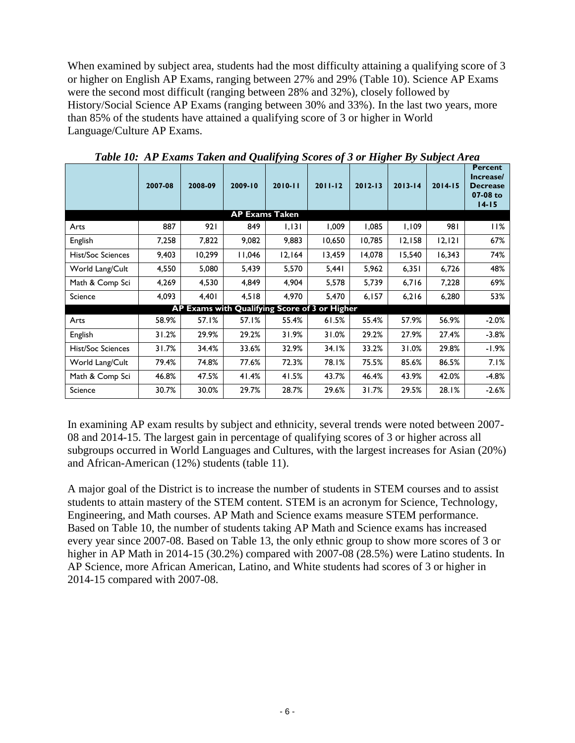When examined by subject area, students had the most difficulty attaining a qualifying score of 3 or higher on English AP Exams, ranging between 27% and 29% (Table 10). Science AP Exams were the second most difficult (ranging between 28% and 32%), closely followed by History/Social Science AP Exams (ranging between 30% and 33%). In the last two years, more than 85% of the students have attained a qualifying score of 3 or higher in World Language/Culture AP Exams.

|                          | 2007-08 | 2008-09 | ~<br>2009-10          | $\bm{\nu}$<br>$\mathbf{\sigma}$<br>$2010 - 11$ | $\cdot$<br>$2011 - 12$ | $\bullet$<br>$2012 - 13$ | $2013 - 14$ | J<br>$2014 - 15$ | <b>Percent</b><br>Increase/<br><b>Decrease</b><br>07-08 to<br>$14 - 15$ |
|--------------------------|---------|---------|-----------------------|------------------------------------------------|------------------------|--------------------------|-------------|------------------|-------------------------------------------------------------------------|
|                          |         |         | <b>AP Exams Taken</b> |                                                |                        |                          |             |                  |                                                                         |
| Arts                     | 887     | 921     | 849                   | 1,131                                          | 1,009                  | 1,085                    | 1,109       | 981              | 11%                                                                     |
| English                  | 7,258   | 7,822   | 9,082                 | 9,883                                          | 10,650                 | 10,785                   | 12,158      | 12,121           | 67%                                                                     |
| <b>Hist/Soc Sciences</b> | 9,403   | 10,299  | 11,046                | 12,164                                         | 13,459                 | 14,078                   | 15,540      | 16,343           | 74%                                                                     |
| World Lang/Cult          | 4,550   | 5,080   | 5,439                 | 5,570                                          | 5,441                  | 5,962                    | 6,351       | 6,726            | 48%                                                                     |
| Math & Comp Sci          | 4,269   | 4,530   | 4,849                 | 4,904                                          | 5,578                  | 5,739                    | 6,716       | 7,228            | 69%                                                                     |
| Science                  | 4,093   | 4,401   | 4,518                 | 4,970                                          | 5,470                  | 6,157                    | 6,216       | 6,280            | 53%                                                                     |
|                          |         |         |                       | AP Exams with Qualifying Score of 3 or Higher  |                        |                          |             |                  |                                                                         |
| Arts                     | 58.9%   | 57.1%   | 57.1%                 | 55.4%                                          | 61.5%                  | 55.4%                    | 57.9%       | 56.9%            | $-2.0%$                                                                 |
| English                  | 31.2%   | 29.9%   | 29.2%                 | 31.9%                                          | 31.0%                  | 29.2%                    | 27.9%       | 27.4%            | $-3.8%$                                                                 |
| <b>Hist/Soc Sciences</b> | 31.7%   | 34.4%   | 33.6%                 | 32.9%                                          | 34.I%                  | 33.2%                    | 31.0%       | 29.8%            | -1.9%                                                                   |
| World Lang/Cult          | 79.4%   | 74.8%   | 77.6%                 | 72.3%                                          | 78.1%                  | 75.5%                    | 85.6%       | 86.5%            | 7.1%                                                                    |
| Math & Comp Sci          | 46.8%   | 47.5%   | 41.4%                 | 41.5%                                          | 43.7%                  | 46.4%                    | 43.9%       | 42.0%            | $-4.8%$                                                                 |
| Science                  | 30.7%   | 30.0%   | 29.7%                 | 28.7%                                          | 29.6%                  | 31.7%                    | 29.5%       | 28.1%            | $-2.6\%$                                                                |

*Table 10: AP Exams Taken and Qualifying Scores of 3 or Higher By Subject Area*

In examining AP exam results by subject and ethnicity, several trends were noted between 2007- 08 and 2014-15. The largest gain in percentage of qualifying scores of 3 or higher across all subgroups occurred in World Languages and Cultures, with the largest increases for Asian (20%) and African-American (12%) students (table 11).

A major goal of the District is to increase the number of students in STEM courses and to assist students to attain mastery of the STEM content. STEM is an acronym for Science, Technology, Engineering, and Math courses. AP Math and Science exams measure STEM performance. Based on Table 10, the number of students taking AP Math and Science exams has increased every year since 2007-08. Based on Table 13, the only ethnic group to show more scores of 3 or higher in AP Math in 2014-15 (30.2%) compared with 2007-08 (28.5%) were Latino students. In AP Science, more African American, Latino, and White students had scores of 3 or higher in 2014-15 compared with 2007-08.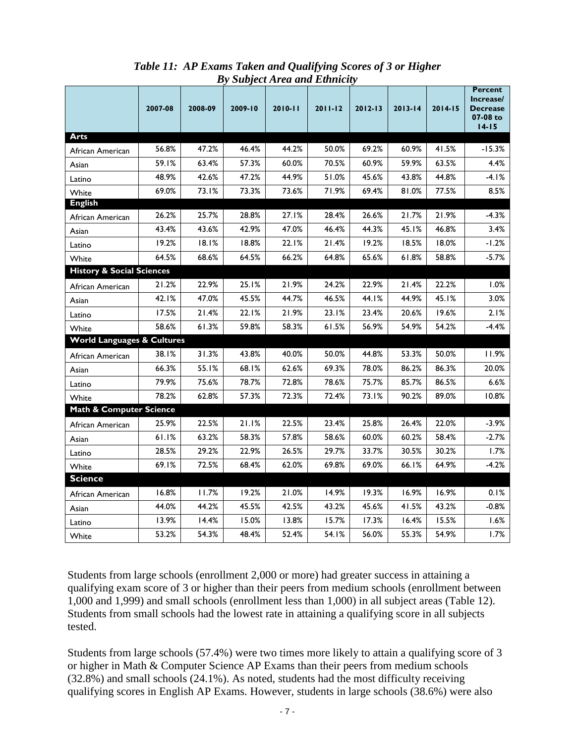|                                       |         |         |         | ру эиојест нгеа ана Етнисиу |             |             |             |             |                                                                  |
|---------------------------------------|---------|---------|---------|-----------------------------|-------------|-------------|-------------|-------------|------------------------------------------------------------------|
|                                       | 2007-08 | 2008-09 | 2009-10 | 2010-11                     | $2011 - 12$ | $2012 - 13$ | $2013 - 14$ | $2014 - 15$ | Percent<br>Increase/<br><b>Decrease</b><br>07-08 to<br>$14 - 15$ |
| <b>Arts</b>                           |         |         |         |                             |             |             |             |             |                                                                  |
| African American                      | 56.8%   | 47.2%   | 46.4%   | 44.2%                       | 50.0%       | 69.2%       | 60.9%       | 41.5%       | $-15.3%$                                                         |
| Asian                                 | 59.1%   | 63.4%   | 57.3%   | 60.0%                       | 70.5%       | 60.9%       | 59.9%       | 63.5%       | 4.4%                                                             |
| Latino                                | 48.9%   | 42.6%   | 47.2%   | 44.9%                       | 51.0%       | 45.6%       | 43.8%       | 44.8%       | -4.I%                                                            |
| White                                 | 69.0%   | 73.1%   | 73.3%   | 73.6%                       | 71.9%       | 69.4%       | 81.0%       | 77.5%       | 8.5%                                                             |
| <b>English</b>                        |         |         |         |                             |             |             |             |             |                                                                  |
| African American                      | 26.2%   | 25.7%   | 28.8%   | 27.1%                       | 28.4%       | 26.6%       | 21.7%       | 21.9%       | $-4.3%$                                                          |
| Asian                                 | 43.4%   | 43.6%   | 42.9%   | 47.0%                       | 46.4%       | 44.3%       | 45.1%       | 46.8%       | 3.4%                                                             |
| Latino                                | 19.2%   | 18.1%   | 18.8%   | 22.1%                       | 21.4%       | 19.2%       | 18.5%       | 18.0%       | $-1.2%$                                                          |
| White                                 | 64.5%   | 68.6%   | 64.5%   | 66.2%                       | 64.8%       | 65.6%       | 61.8%       | 58.8%       | $-5.7%$                                                          |
| <b>History &amp; Social Sciences</b>  |         |         |         |                             |             |             |             |             |                                                                  |
| African American                      | 21.2%   | 22.9%   | 25.1%   | 21.9%                       | 24.2%       | 22.9%       | 21.4%       | 22.2%       | $1.0\%$                                                          |
| Asian                                 | 42.1%   | 47.0%   | 45.5%   | 44.7%                       | 46.5%       | 44.I%       | 44.9%       | 45.1%       | 3.0%                                                             |
| Latino                                | 17.5%   | 21.4%   | 22.1%   | 21.9%                       | 23.1%       | 23.4%       | 20.6%       | 19.6%       | 2.1%                                                             |
| White                                 | 58.6%   | 61.3%   | 59.8%   | 58.3%                       | 61.5%       | 56.9%       | 54.9%       | 54.2%       | $-4.4%$                                                          |
| <b>World Languages &amp; Cultures</b> |         |         |         |                             |             |             |             |             |                                                                  |
| African American                      | 38.1%   | 31.3%   | 43.8%   | 40.0%                       | 50.0%       | 44.8%       | 53.3%       | 50.0%       | 11.9%                                                            |
| Asian                                 | 66.3%   | 55.1%   | 68.1%   | 62.6%                       | 69.3%       | 78.0%       | 86.2%       | 86.3%       | 20.0%                                                            |
| Latino                                | 79.9%   | 75.6%   | 78.7%   | 72.8%                       | 78.6%       | 75.7%       | 85.7%       | 86.5%       | 6.6%                                                             |
| White                                 | 78.2%   | 62.8%   | 57.3%   | 72.3%                       | 72.4%       | 73.1%       | 90.2%       | 89.0%       | 10.8%                                                            |
| Math & Computer Science               |         |         |         |                             |             |             |             |             |                                                                  |
| African American                      | 25.9%   | 22.5%   | 21.1%   | 22.5%                       | 23.4%       | 25.8%       | 26.4%       | 22.0%       | $-3.9%$                                                          |
| Asian                                 | 61.1%   | 63.2%   | 58.3%   | 57.8%                       | 58.6%       | 60.0%       | 60.2%       | 58.4%       | $-2.7%$                                                          |
| Latino                                | 28.5%   | 29.2%   | 22.9%   | 26.5%                       | 29.7%       | 33.7%       | 30.5%       | 30.2%       | 1.7%                                                             |
| White                                 | 69.1%   | 72.5%   | 68.4%   | 62.0%                       | 69.8%       | 69.0%       | 66.1%       | 64.9%       | $-4.2%$                                                          |
| <b>Science</b>                        |         |         |         |                             |             |             |             |             |                                                                  |
| African American                      | 16.8%   | 11.7%   | 19.2%   | 21.0%                       | 14.9%       | 19.3%       | 16.9%       | 16.9%       | 0.1%                                                             |
| Asian                                 | 44.0%   | 44.2%   | 45.5%   | 42.5%                       | 43.2%       | 45.6%       | 41.5%       | 43.2%       | $-0.8%$                                                          |
| Latino                                | 13.9%   | 14.4%   | 15.0%   | 13.8%                       | 15.7%       | 17.3%       | 16.4%       | 15.5%       | 1.6%                                                             |
| White                                 | 53.2%   | 54.3%   | 48.4%   | 52.4%                       | 54.1%       | 56.0%       | 55.3%       | 54.9%       | 1.7%                                                             |

*Table 11: AP Exams Taken and Qualifying Scores of 3 or Higher By Subject Area and Ethnicity*

Students from large schools (enrollment 2,000 or more) had greater success in attaining a qualifying exam score of 3 or higher than their peers from medium schools (enrollment between 1,000 and 1,999) and small schools (enrollment less than 1,000) in all subject areas (Table 12). Students from small schools had the lowest rate in attaining a qualifying score in all subjects tested.

Students from large schools (57.4%) were two times more likely to attain a qualifying score of 3 or higher in Math & Computer Science AP Exams than their peers from medium schools (32.8%) and small schools (24.1%). As noted, students had the most difficulty receiving qualifying scores in English AP Exams. However, students in large schools (38.6%) were also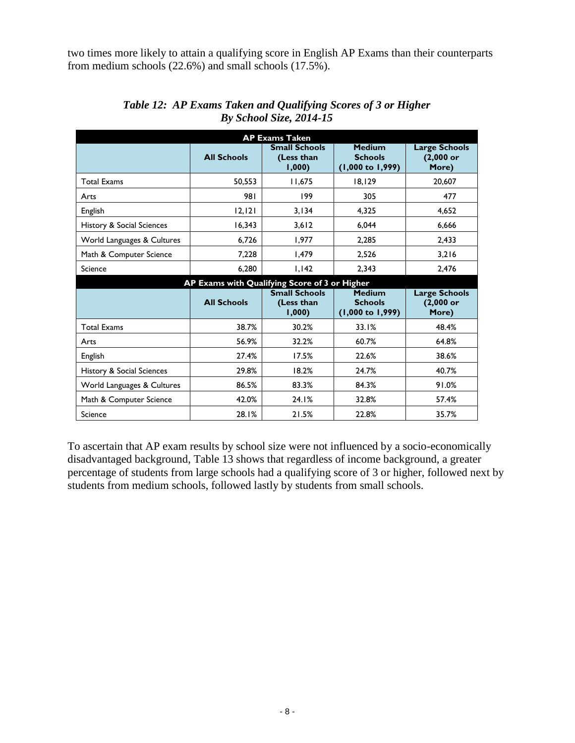two times more likely to attain a qualifying score in English AP Exams than their counterparts from medium schools (22.6%) and small schools (17.5%).

| <b>AP Exams Taken</b>      |                    |                                               |                                                                |                                              |  |  |  |  |  |  |  |  |
|----------------------------|--------------------|-----------------------------------------------|----------------------------------------------------------------|----------------------------------------------|--|--|--|--|--|--|--|--|
|                            | <b>All Schools</b> | <b>Small Schools</b><br>(Less than<br>1,000   | <b>Medium</b><br><b>Schools</b><br>$(1,000 \text{ to } 1,999)$ | <b>Large Schools</b><br>$(2,000$ or<br>More) |  |  |  |  |  |  |  |  |
| <b>Total Exams</b>         | 50,553             | 11.675                                        | 18,129                                                         | 20,607                                       |  |  |  |  |  |  |  |  |
| Arts                       | 981                | 199                                           | 305                                                            | 477                                          |  |  |  |  |  |  |  |  |
| English                    | 12, 121            | 3,134                                         | 4,325                                                          | 4,652                                        |  |  |  |  |  |  |  |  |
| History & Social Sciences  | 16,343             | 3,612                                         | 6,044                                                          | 6,666                                        |  |  |  |  |  |  |  |  |
| World Languages & Cultures | 6,726              | 1,977                                         | 2,285                                                          | 2,433                                        |  |  |  |  |  |  |  |  |
| Math & Computer Science    | 7,228              | 1,479                                         | 2,526                                                          | 3,216                                        |  |  |  |  |  |  |  |  |
| Science                    | 6,280              | 1,142                                         | 2.343                                                          | 2.476                                        |  |  |  |  |  |  |  |  |
|                            |                    | AP Exams with Qualifying Score of 3 or Higher |                                                                |                                              |  |  |  |  |  |  |  |  |
|                            |                    |                                               |                                                                |                                              |  |  |  |  |  |  |  |  |
|                            | <b>All Schools</b> | <b>Small Schools</b><br>(Less than<br>1,000   | <b>Medium</b><br><b>Schools</b><br>$(1,000 \text{ to } 1,999)$ | <b>Large Schools</b><br>$(2,000$ or<br>More) |  |  |  |  |  |  |  |  |
| <b>Total Exams</b>         | 38.7%              | 30.2%                                         | 33.1%                                                          | 48.4%                                        |  |  |  |  |  |  |  |  |
| Arts                       | 56.9%              | 32.2%                                         | 60.7%                                                          | 64.8%                                        |  |  |  |  |  |  |  |  |
| English                    | 27.4%              | 17.5%                                         | 22.6%                                                          | 38.6%                                        |  |  |  |  |  |  |  |  |
| History & Social Sciences  | 29.8%              | 18.2%                                         | 24.7%                                                          | 40.7%                                        |  |  |  |  |  |  |  |  |
| World Languages & Cultures | 86.5%              | 83.3%                                         | 84.3%                                                          | 91.0%                                        |  |  |  |  |  |  |  |  |
| Math & Computer Science    | 42.0%              | 24.1%                                         | 32.8%                                                          | 57.4%                                        |  |  |  |  |  |  |  |  |

*Table 12: AP Exams Taken and Qualifying Scores of 3 or Higher By School Size, 2014-15*

To ascertain that AP exam results by school size were not influenced by a socio-economically disadvantaged background, Table 13 shows that regardless of income background, a greater percentage of students from large schools had a qualifying score of 3 or higher, followed next by students from medium schools, followed lastly by students from small schools.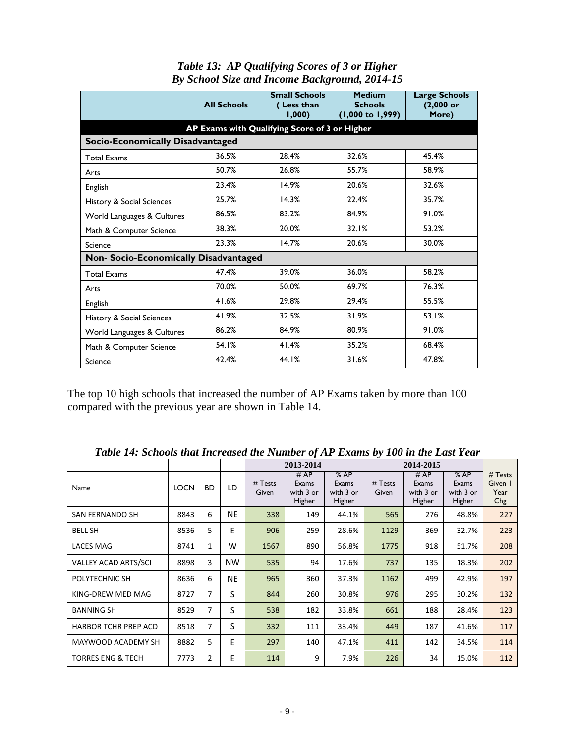|  | <b>Table 13: AP Qualifying Scores of 3 or Higher</b> |  |
|--|------------------------------------------------------|--|
|  | By School Size and Income Background, 2014-15        |  |

|                                               | <b>All Schools</b> | <b>Small Schools</b><br>(Less than<br>1,000 | <b>Medium</b><br><b>Schools</b><br>$(1,000 \text{ to } 1,999)$ | <b>Large Schools</b><br>$(2,000$ or<br>More) |  |  |  |  |  |  |  |
|-----------------------------------------------|--------------------|---------------------------------------------|----------------------------------------------------------------|----------------------------------------------|--|--|--|--|--|--|--|
| AP Exams with Qualifying Score of 3 or Higher |                    |                                             |                                                                |                                              |  |  |  |  |  |  |  |
| <b>Socio-Economically Disadvantaged</b>       |                    |                                             |                                                                |                                              |  |  |  |  |  |  |  |
| <b>Total Exams</b>                            | 36.5%              | 28.4%                                       | 32.6%                                                          | 45.4%                                        |  |  |  |  |  |  |  |
| Arts                                          | 50.7%              | 26.8%                                       | 55.7%                                                          | 58.9%                                        |  |  |  |  |  |  |  |
| <b>English</b>                                | 23.4%              | 14.9%                                       | 20.6%                                                          | 32.6%                                        |  |  |  |  |  |  |  |
| History & Social Sciences                     | 25.7%              | 14.3%                                       | 22.4%                                                          | 35.7%                                        |  |  |  |  |  |  |  |
| World Languages & Cultures                    | 86.5%              | 83.2%                                       | 84.9%                                                          | 91.0%                                        |  |  |  |  |  |  |  |
| Math & Computer Science                       | 38.3%              | 20.0%                                       | 32.1%                                                          | 53.2%                                        |  |  |  |  |  |  |  |
| Science                                       | 23.3%              | 14.7%                                       | 20.6%                                                          | 30.0%                                        |  |  |  |  |  |  |  |
| Non- Socio-Economically Disadvantaged         |                    |                                             |                                                                |                                              |  |  |  |  |  |  |  |
| <b>Total Exams</b>                            | 47.4%              | 39.0%                                       | 36.0%                                                          | 58.2%                                        |  |  |  |  |  |  |  |
| Arts                                          | 70.0%              | 50.0%                                       | 69.7%                                                          | 76.3%                                        |  |  |  |  |  |  |  |
| English                                       | 41.6%              | 29.8%                                       | 29.4%                                                          | 55.5%                                        |  |  |  |  |  |  |  |
| History & Social Sciences                     | 41.9%              | 32.5%                                       | 31.9%                                                          | 53.1%                                        |  |  |  |  |  |  |  |
| World Languages & Cultures                    | 86.2%              | 84.9%                                       | 80.9%                                                          | 91.0%                                        |  |  |  |  |  |  |  |
| Math & Computer Science                       | 54.1%              | 41.4%                                       | 35.2%                                                          | 68.4%                                        |  |  |  |  |  |  |  |
| Science                                       | 42.4%              | 44.1%                                       | 31.6%                                                          | 47.8%                                        |  |  |  |  |  |  |  |

The top 10 high schools that increased the number of AP Exams taken by more than 100 compared with the previous year are shown in Table 14.

|                              |             |                |           |                  | 2013-2014                           |                                     |                    |                                      |                                     |                                   |
|------------------------------|-------------|----------------|-----------|------------------|-------------------------------------|-------------------------------------|--------------------|--------------------------------------|-------------------------------------|-----------------------------------|
| Name                         | <b>LOCN</b> | <b>BD</b>      | LD        | # Tests<br>Given | #AP<br>Exams<br>with 3 or<br>Higher | %AP<br>Exams<br>with 3 or<br>Higher | $#$ Tests<br>Given | # AP<br>Exams<br>with 3 or<br>Higher | %AP<br>Exams<br>with 3 or<br>Higher | # Tests<br>Given I<br>Year<br>Chg |
| <b>SAN FERNANDO SH</b>       | 8843        | 6              | <b>NE</b> | 338              | 149                                 | 44.1%                               | 565                | 276                                  | 48.8%                               | 227                               |
| <b>BELL SH</b>               | 8536        | 5              | E         | 906              | 259                                 | 28.6%                               | 1129               | 369                                  | 32.7%                               | 223                               |
| <b>LACES MAG</b>             | 8741        | $\mathbf{1}$   | W         | 1567             | 890                                 | 56.8%                               | 1775               | 918                                  | 51.7%                               | 208                               |
| <b>VALLEY ACAD ARTS/SCI</b>  | 8898        | 3              | <b>NW</b> | 535              | 94                                  | 17.6%                               | 737                | 135                                  | 18.3%                               | 202                               |
| POLYTECHNIC SH               | 8636        | 6              | <b>NE</b> | 965              | 360                                 | 37.3%                               | 1162               | 499                                  | 42.9%                               | 197                               |
| KING-DREW MED MAG            | 8727        | 7              | S         | 844              | 260                                 | 30.8%                               | 976                | 295                                  | 30.2%                               | 132                               |
| <b>BANNING SH</b>            | 8529        | 7              | S         | 538              | 182                                 | 33.8%                               | 661                | 188                                  | 28.4%                               | 123                               |
| HARBOR TCHR PREP ACD         | 8518        | 7              | S         | 332              | 111                                 | 33.4%                               | 449                | 187                                  | 41.6%                               | 117                               |
| MAYWOOD ACADEMY SH           | 8882        | 5              | E         | 297              | 140                                 | 47.1%                               | 411                | 142                                  | 34.5%                               | 114                               |
| <b>TORRES ENG &amp; TECH</b> | 7773        | $\overline{2}$ | E         | 114              | 9                                   | 7.9%                                | 226                | 34                                   | 15.0%                               | 112                               |

*Table 14: Schools that Increased the Number of AP Exams by 100 in the Last Year*